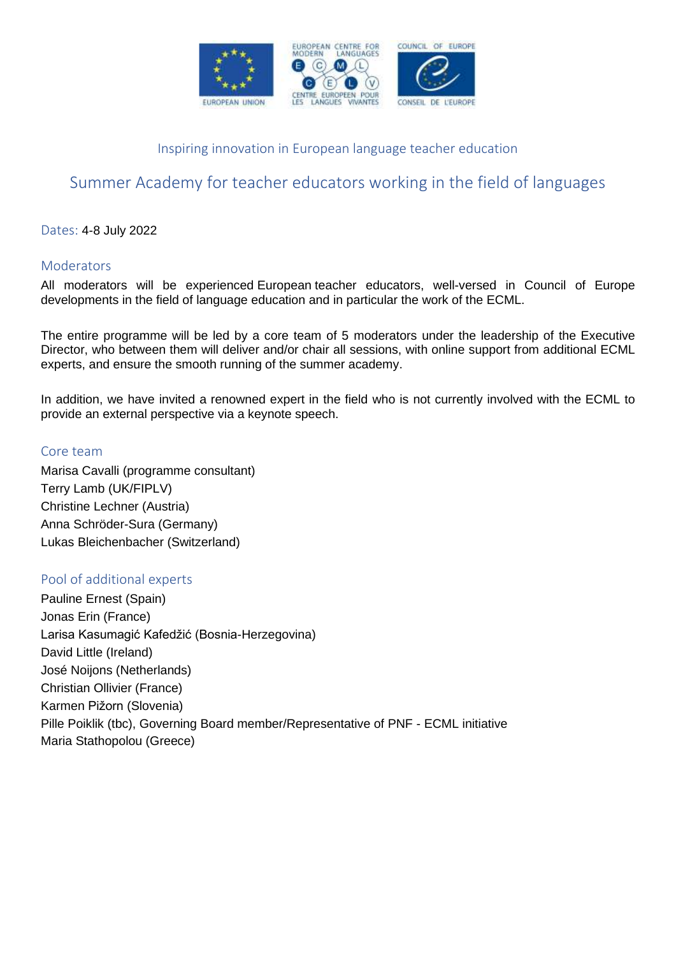

## Inspiring innovation in European language teacher education

# Summer Academy for teacher educators working in the field of languages

Dates: 4-8 July 2022

### Moderators

All moderators will be experienced European teacher educators, well-versed in Council of Europe developments in the field of language education and in particular the work of the ECML.

The entire programme will be led by a core team of 5 moderators under the leadership of the Executive Director, who between them will deliver and/or chair all sessions, with online support from additional ECML experts, and ensure the smooth running of the summer academy.

In addition, we have invited a renowned expert in the field who is not currently involved with the ECML to provide an external perspective via a keynote speech.

#### Core team

Marisa Cavalli (programme consultant) Terry Lamb (UK/FIPLV) Christine Lechner (Austria) Anna Schröder-Sura (Germany) Lukas Bleichenbacher (Switzerland)

### Pool of additional experts

Pauline Ernest (Spain) Jonas Erin (France) Larisa Kasumagić Kafedžić (Bosnia-Herzegovina) David Little (Ireland) José Noijons (Netherlands) Christian Ollivier (France) Karmen Pižorn (Slovenia) Pille Poiklik (tbc), Governing Board member/Representative of PNF - ECML initiative Maria Stathopolou (Greece)